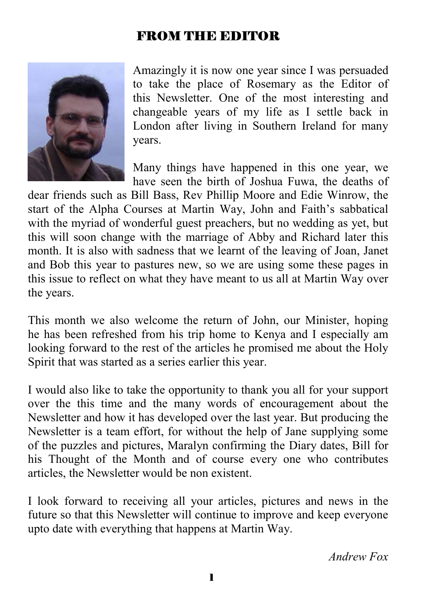## FROM THE EDITOR



Amazingly it is now one year since I was persuaded to take the place of Rosemary as the Editor of this Newsletter. One of the most interesting and changeable years of my life as I settle back in London after living in Southern Ireland for many years.

Many things have happened in this one year, we have seen the birth of Joshua Fuwa, the deaths of

dear friends such as Bill Bass, Rev Phillip Moore and Edie Winrow, the start of the Alpha Courses at Martin Way, John and Faith's sabbatical with the myriad of wonderful guest preachers, but no wedding as yet, but this will soon change with the marriage of Abby and Richard later this month. It is also with sadness that we learnt of the leaving of Joan, Janet and Bob this year to pastures new, so we are using some these pages in this issue to reflect on what they have meant to us all at Martin Way over the years.

This month we also welcome the return of John, our Minister, hoping he has been refreshed from his trip home to Kenya and I especially am looking forward to the rest of the articles he promised me about the Holy Spirit that was started as a series earlier this year.

I would also like to take the opportunity to thank you all for your support over the this time and the many words of encouragement about the Newsletter and how it has developed over the last year. But producing the Newsletter is a team effort, for without the help of Jane supplying some of the puzzles and pictures, Maralyn confirming the Diary dates, Bill for his Thought of the Month and of course every one who contributes articles, the Newsletter would be non existent.

I look forward to receiving all your articles, pictures and news in the future so that this Newsletter will continue to improve and keep everyone upto date with everything that happens at Martin Way.

*Andrew Fox*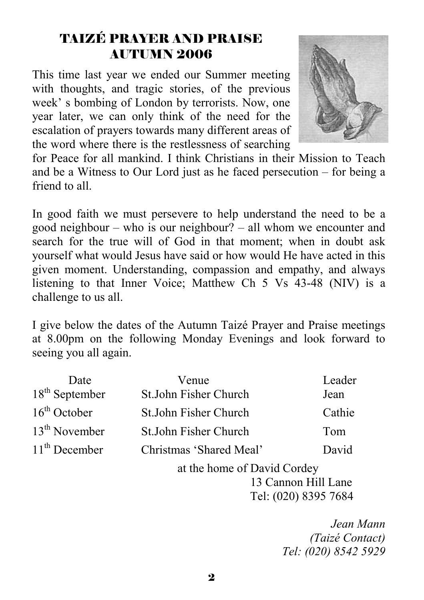# TAIZÉ PRAYER AND PRAISE AUTUMN 2006

This time last year we ended our Summer meeting with thoughts, and tragic stories, of the previous week' s bombing of London by terrorists. Now, one year later, we can only think of the need for the escalation of prayers towards many different areas of the word where there is the restlessness of searching



for Peace for all mankind. I think Christians in their Mission to Teach and be a Witness to Our Lord just as he faced persecution – for being a friend to all.

In good faith we must persevere to help understand the need to be a good neighbour – who is our neighbour? – all whom we encounter and search for the true will of God in that moment; when in doubt ask yourself what would Jesus have said or how would He have acted in this given moment. Understanding, compassion and empathy, and always listening to that Inner Voice; Matthew Ch 5 Vs 43-48 (NIV) is a challenge to us all.

I give below the dates of the Autumn Taizé Prayer and Praise meetings at 8.00pm on the following Monday Evenings and look forward to seeing you all again.

| Date                       | Venue                       | Leader               |
|----------------------------|-----------------------------|----------------------|
| 18 <sup>th</sup> September | St.John Fisher Church       | Jean                 |
| $16th$ October             | St.John Fisher Church       | Cathie               |
| $13th$ November            | St.John Fisher Church       | Tom                  |
| $11th$ December            | Christmas 'Shared Meal'     | David                |
|                            | at the home of David Cordey |                      |
|                            |                             | 13 Cannon Hill Lane  |
|                            |                             | Tel: (020) 8395 7684 |

 *Jean Mann (Taizé Contact) Tel: (020) 8542 5929*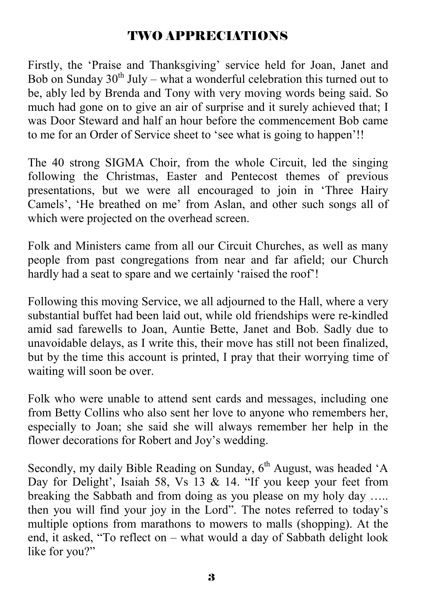## TWO APPRECIATIONS

Firstly, the 'Praise and Thanksgiving' service held for Joan, Janet and Bob on Sunday  $30<sup>th</sup>$  July – what a wonderful celebration this turned out to be, ably led by Brenda and Tony with very moving words being said. So much had gone on to give an air of surprise and it surely achieved that; I was Door Steward and half an hour before the commencement Bob came to me for an Order of Service sheet to 'see what is going to happen'!!

The 40 strong SIGMA Choir, from the whole Circuit, led the singing following the Christmas, Easter and Pentecost themes of previous presentations, but we were all encouraged to join in 'Three Hairy Camels', 'He breathed on me' from Aslan, and other such songs all of which were projected on the overhead screen.

Folk and Ministers came from all our Circuit Churches, as well as many people from past congregations from near and far afield; our Church hardly had a seat to spare and we certainly 'raised the roof'!

Following this moving Service, we all adjourned to the Hall, where a very substantial buffet had been laid out, while old friendships were re-kindled amid sad farewells to Joan, Auntie Bette, Janet and Bob. Sadly due to unavoidable delays, as I write this, their move has still not been finalized, but by the time this account is printed, I pray that their worrying time of waiting will soon be over.

Folk who were unable to attend sent cards and messages, including one from Betty Collins who also sent her love to anyone who remembers her, especially to Joan; she said she will always remember her help in the flower decorations for Robert and Joy's wedding.

Secondly, my daily Bible Reading on Sunday,  $6<sup>th</sup>$  August, was headed 'A Day for Delight', Isaiah 58, Vs 13 & 14. "If you keep your feet from breaking the Sabbath and from doing as you please on my holy day ….. then you will find your joy in the Lord". The notes referred to today's multiple options from marathons to mowers to malls (shopping). At the end, it asked, "To reflect on – what would a day of Sabbath delight look like for you?"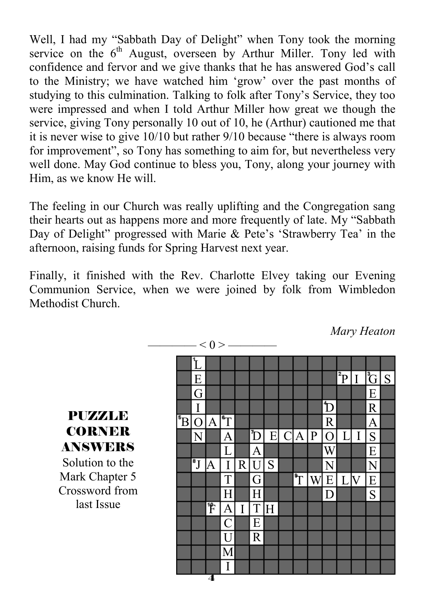Well, I had my "Sabbath Day of Delight" when Tony took the morning service on the  $6<sup>th</sup>$  August, overseen by Arthur Miller. Tony led with confidence and fervor and we give thanks that he has answered God's call to the Ministry; we have watched him 'grow' over the past months of studying to this culmination. Talking to folk after Tony's Service, they too were impressed and when I told Arthur Miller how great we though the service, giving Tony personally 10 out of 10, he (Arthur) cautioned me that it is never wise to give 10/10 but rather 9/10 because "there is always room for improvement", so Tony has something to aim for, but nevertheless very well done. May God continue to bless you, Tony, along your journey with Him, as we know He will.

The feeling in our Church was really uplifting and the Congregation sang their hearts out as happens more and more frequently of late. My "Sabbath Day of Delight" progressed with Marie & Pete's 'Strawberry Tea' in the afternoon, raising funds for Spring Harvest next year.

Finally, it finished with the Rev. Charlotte Elvey taking our Evening Communion Service, when we were joined by folk from Wimbledon Methodist Church.

 $\geq 0$ 

*Mary Heaton* 

|                      |                         | ヽ∪╭ |                |   |                |   |                         |   |                |                         |    |                         |   |
|----------------------|-------------------------|-----|----------------|---|----------------|---|-------------------------|---|----------------|-------------------------|----|-------------------------|---|
|                      |                         |     |                |   |                |   |                         |   |                |                         |    |                         |   |
|                      | E                       |     |                |   |                |   |                         |   |                | $\overline{\mathrm{P}}$ | I  | $\overline{\mathbb{C}}$ | S |
|                      | G                       |     |                |   |                |   |                         |   |                |                         |    | E                       |   |
|                      | I                       |     |                |   |                |   |                         |   | D              |                         |    | R                       |   |
| $\overline{\rm ^5B}$ | $\Omega$                | A   | ĪĪ             |   |                |   |                         |   | $\mathbb{R}$   |                         |    | A                       |   |
|                      | N                       |     | A              |   | Đ              | E | $\overline{C}$  A       | P | $\overline{O}$ | I                       | I  | S                       |   |
|                      |                         |     | L              |   | A              |   |                         |   | Ŵ              |                         |    | E                       |   |
|                      | $\overline{\textbf{J}}$ | A   | I              | R | $\overline{U}$ | S |                         |   | N              |                         |    | N                       |   |
|                      |                         |     | T              |   | G              |   | $\overline{\mathbb{T}}$ | W | E              | L                       | lv | E                       |   |
|                      |                         |     | H              |   | H              |   |                         |   | D              |                         |    | S                       |   |
|                      |                         | F   | A              | I | T              | Η |                         |   |                |                         |    |                         |   |
|                      |                         |     | $\overline{C}$ |   | E              |   |                         |   |                |                         |    |                         |   |
|                      |                         |     | U              |   | R              |   |                         |   |                |                         |    |                         |   |
|                      |                         |     | M              |   |                |   |                         |   |                |                         |    |                         |   |
|                      |                         |     | I              |   |                |   |                         |   |                |                         |    |                         |   |
|                      |                         | 4   |                |   |                |   |                         |   |                |                         |    |                         |   |

**CORNER** ANSWERS Solution to the Mark Chapter 5 Crossword from last Issue

**PIIZZALE**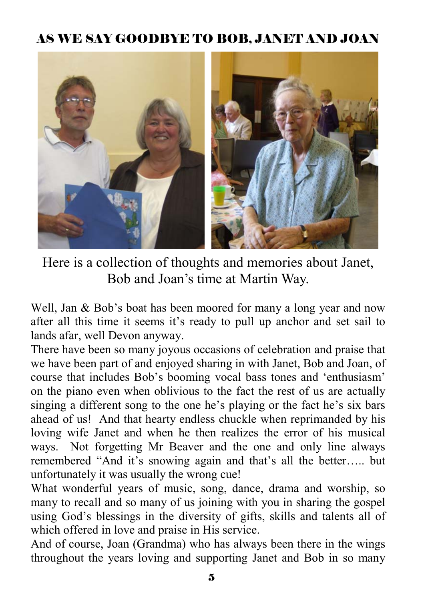# AS WE SAY GOODBYE TO BOB, JANET AND JOAN



Here is a collection of thoughts and memories about Janet, Bob and Joan's time at Martin Way.

Well, Jan & Bob's boat has been moored for many a long year and now after all this time it seems it's ready to pull up anchor and set sail to lands afar, well Devon anyway.

There have been so many joyous occasions of celebration and praise that we have been part of and enjoyed sharing in with Janet, Bob and Joan, of course that includes Bob's booming vocal bass tones and 'enthusiasm' on the piano even when oblivious to the fact the rest of us are actually singing a different song to the one he's playing or the fact he's six bars ahead of us! And that hearty endless chuckle when reprimanded by his loving wife Janet and when he then realizes the error of his musical ways. Not forgetting Mr Beaver and the one and only line always remembered "And it's snowing again and that's all the better….. but unfortunately it was usually the wrong cue!

What wonderful years of music, song, dance, drama and worship, so many to recall and so many of us joining with you in sharing the gospel using God's blessings in the diversity of gifts, skills and talents all of which offered in love and praise in His service.

And of course, Joan (Grandma) who has always been there in the wings throughout the years loving and supporting Janet and Bob in so many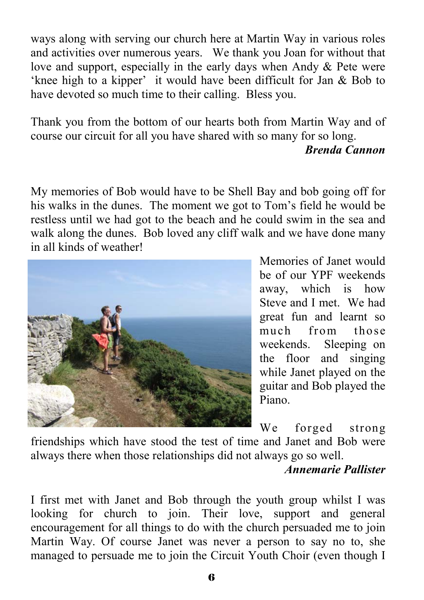ways along with serving our church here at Martin Way in various roles and activities over numerous years. We thank you Joan for without that love and support, especially in the early days when Andy & Pete were 'knee high to a kipper' it would have been difficult for Jan & Bob to have devoted so much time to their calling. Bless you.

Thank you from the bottom of our hearts both from Martin Way and of course our circuit for all you have shared with so many for so long.

### *Brenda Cannon*

My memories of Bob would have to be Shell Bay and bob going off for his walks in the dunes. The moment we got to Tom's field he would be restless until we had got to the beach and he could swim in the sea and walk along the dunes. Bob loved any cliff walk and we have done many in all kinds of weather!



Memories of Janet would be of our YPF weekends away, which is how Steve and I met. We had great fun and learnt so much from those weekends. Sleeping on the floor and singing while Janet played on the guitar and Bob played the Piano.

We forged strong

friendships which have stood the test of time and Janet and Bob were always there when those relationships did not always go so well.

## *Annemarie Pallister*

I first met with Janet and Bob through the youth group whilst I was looking for church to join. Their love, support and general encouragement for all things to do with the church persuaded me to join Martin Way. Of course Janet was never a person to say no to, she managed to persuade me to join the Circuit Youth Choir (even though I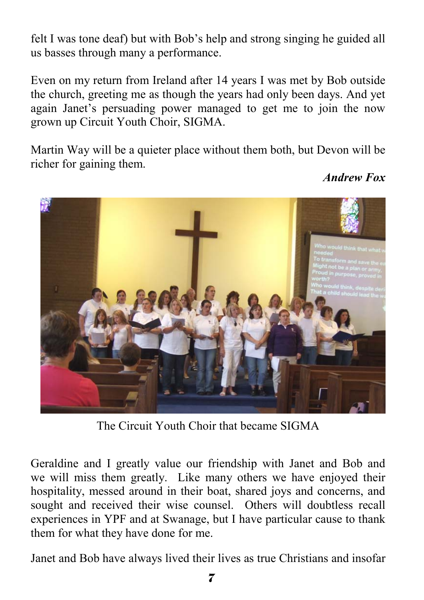felt I was tone deaf) but with Bob's help and strong singing he guided all us basses through many a performance.

Even on my return from Ireland after 14 years I was met by Bob outside the church, greeting me as though the years had only been days. And yet again Janet's persuading power managed to get me to join the now grown up Circuit Youth Choir, SIGMA.

Martin Way will be a quieter place without them both, but Devon will be richer for gaining them.



*Andrew Fox* 

The Circuit Youth Choir that became SIGMA

Geraldine and I greatly value our friendship with Janet and Bob and we will miss them greatly. Like many others we have enjoyed their hospitality, messed around in their boat, shared joys and concerns, and sought and received their wise counsel. Others will doubtless recall experiences in YPF and at Swanage, but I have particular cause to thank them for what they have done for me.

Janet and Bob have always lived their lives as true Christians and insofar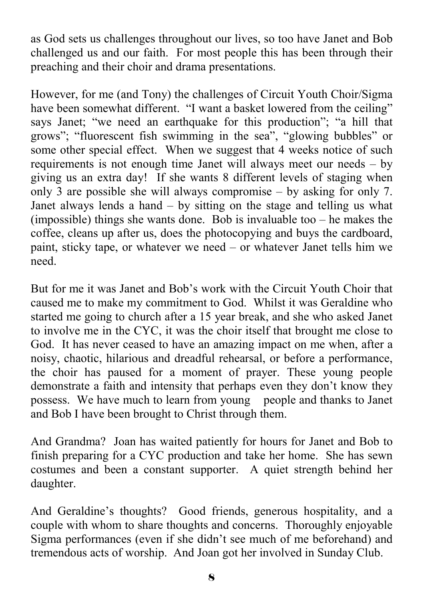as God sets us challenges throughout our lives, so too have Janet and Bob challenged us and our faith. For most people this has been through their preaching and their choir and drama presentations.

However, for me (and Tony) the challenges of Circuit Youth Choir/Sigma have been somewhat different. "I want a basket lowered from the ceiling" says Janet; "we need an earthquake for this production"; "a hill that grows"; "fluorescent fish swimming in the sea", "glowing bubbles" or some other special effect. When we suggest that 4 weeks notice of such requirements is not enough time Janet will always meet our needs – by giving us an extra day! If she wants 8 different levels of staging when only 3 are possible she will always compromise – by asking for only 7. Janet always lends a hand – by sitting on the stage and telling us what (impossible) things she wants done. Bob is invaluable too – he makes the coffee, cleans up after us, does the photocopying and buys the cardboard, paint, sticky tape, or whatever we need – or whatever Janet tells him we need.

But for me it was Janet and Bob's work with the Circuit Youth Choir that caused me to make my commitment to God. Whilst it was Geraldine who started me going to church after a 15 year break, and she who asked Janet to involve me in the CYC, it was the choir itself that brought me close to God. It has never ceased to have an amazing impact on me when, after a noisy, chaotic, hilarious and dreadful rehearsal, or before a performance, the choir has paused for a moment of prayer. These young people demonstrate a faith and intensity that perhaps even they don't know they possess. We have much to learn from young people and thanks to Janet and Bob I have been brought to Christ through them.

And Grandma? Joan has waited patiently for hours for Janet and Bob to finish preparing for a CYC production and take her home. She has sewn costumes and been a constant supporter. A quiet strength behind her daughter.

And Geraldine's thoughts? Good friends, generous hospitality, and a couple with whom to share thoughts and concerns. Thoroughly enjoyable Sigma performances (even if she didn't see much of me beforehand) and tremendous acts of worship. And Joan got her involved in Sunday Club.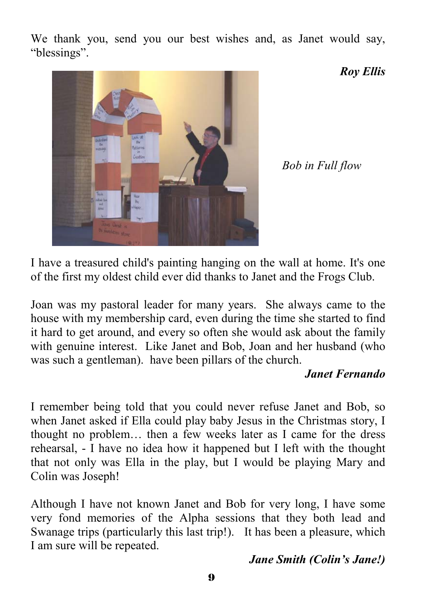We thank you, send you our best wishes and, as Janet would say, "blessings".



*Roy Ellis* 

*Bob in Full flow* 

I have a treasured child's painting hanging on the wall at home. It's one of the first my oldest child ever did thanks to Janet and the Frogs Club.

Joan was my pastoral leader for many years. She always came to the house with my membership card, even during the time she started to find it hard to get around, and every so often she would ask about the family with genuine interest. Like Janet and Bob, Joan and her husband (who was such a gentleman). have been pillars of the church.

## *Janet Fernando*

I remember being told that you could never refuse Janet and Bob, so when Janet asked if Ella could play baby Jesus in the Christmas story, I thought no problem… then a few weeks later as I came for the dress rehearsal, - I have no idea how it happened but I left with the thought that not only was Ella in the play, but I would be playing Mary and Colin was Joseph!

Although I have not known Janet and Bob for very long, I have some very fond memories of the Alpha sessions that they both lead and Swanage trips (particularly this last trip!). It has been a pleasure, which I am sure will be repeated.

## *Jane Smith (Colin's Jane!)*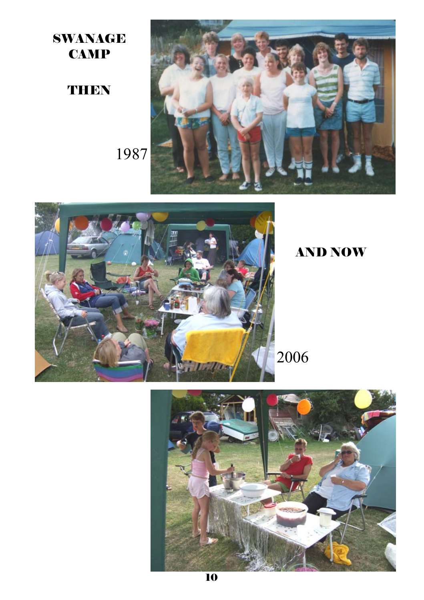SWANAGE **CAMP** 

## **THEN**





# AND NOW

2006

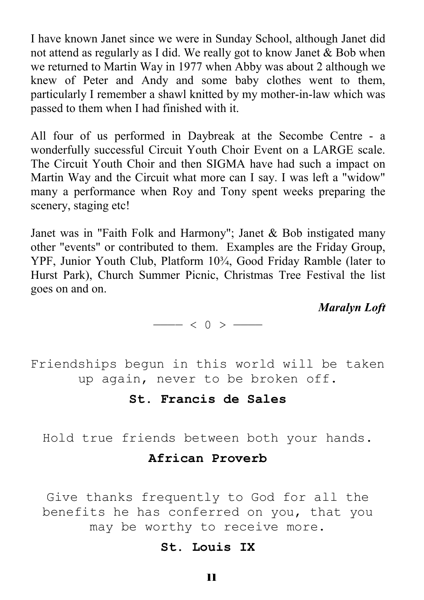I have known Janet since we were in Sunday School, although Janet did not attend as regularly as I did. We really got to know Janet & Bob when we returned to Martin Way in 1977 when Abby was about 2 although we knew of Peter and Andy and some baby clothes went to them, particularly I remember a shawl knitted by my mother-in-law which was passed to them when I had finished with it.

All four of us performed in Daybreak at the Secombe Centre - a wonderfully successful Circuit Youth Choir Event on a LARGE scale. The Circuit Youth Choir and then SIGMA have had such a impact on Martin Way and the Circuit what more can I say. I was left a "widow" many a performance when Roy and Tony spent weeks preparing the scenery, staging etc!

Janet was in "Faith Folk and Harmony"; Janet & Bob instigated many other "events" or contributed to them. Examples are the Friday Group, YPF, Junior Youth Club, Platform 10¾, Good Friday Ramble (later to Hurst Park), Church Summer Picnic, Christmas Tree Festival the list goes on and on.

*Maralyn Loft*

———  $< 0 >$  ——

Friendships begun in this world will be taken up again, never to be broken off.

#### **St. Francis de Sales**

Hold true friends between both your hands.

#### **African Proverb**

Give thanks frequently to God for all the benefits he has conferred on you, that you may be worthy to receive more.

#### **St. Louis IX**

11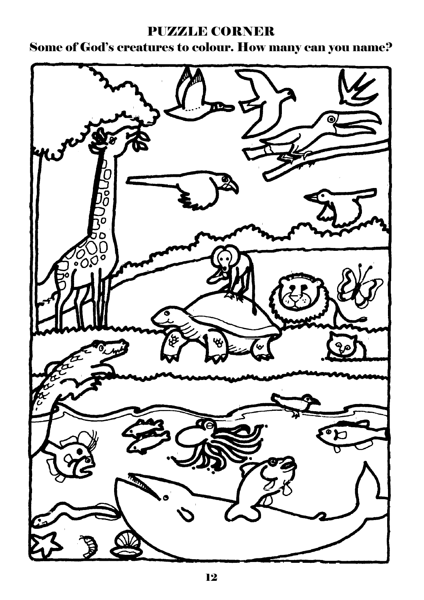## PUZZLE CORNER

Some of God's creatures to colour. How many can you name?

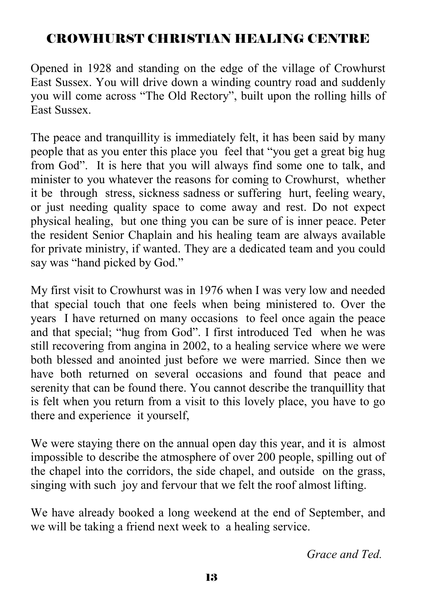# CROWHURST CHRISTIAN HEALING CENTRE

Opened in 1928 and standing on the edge of the village of Crowhurst East Sussex. You will drive down a winding country road and suddenly you will come across "The Old Rectory", built upon the rolling hills of East Sussex.

The peace and tranquillity is immediately felt, it has been said by many people that as you enter this place you feel that "you get a great big hug from God". It is here that you will always find some one to talk, and minister to you whatever the reasons for coming to Crowhurst, whether it be through stress, sickness sadness or suffering hurt, feeling weary, or just needing quality space to come away and rest. Do not expect physical healing, but one thing you can be sure of is inner peace. Peter the resident Senior Chaplain and his healing team are always available for private ministry, if wanted. They are a dedicated team and you could say was "hand picked by God."

My first visit to Crowhurst was in 1976 when I was very low and needed that special touch that one feels when being ministered to. Over the years I have returned on many occasions to feel once again the peace and that special; "hug from God". I first introduced Ted when he was still recovering from angina in 2002, to a healing service where we were both blessed and anointed just before we were married. Since then we have both returned on several occasions and found that peace and serenity that can be found there. You cannot describe the tranquillity that is felt when you return from a visit to this lovely place, you have to go there and experience it yourself,

We were staying there on the annual open day this year, and it is almost impossible to describe the atmosphere of over 200 people, spilling out of the chapel into the corridors, the side chapel, and outside on the grass, singing with such joy and fervour that we felt the roof almost lifting.

We have already booked a long weekend at the end of September, and we will be taking a friend next week to a healing service.

*Grace and Ted.*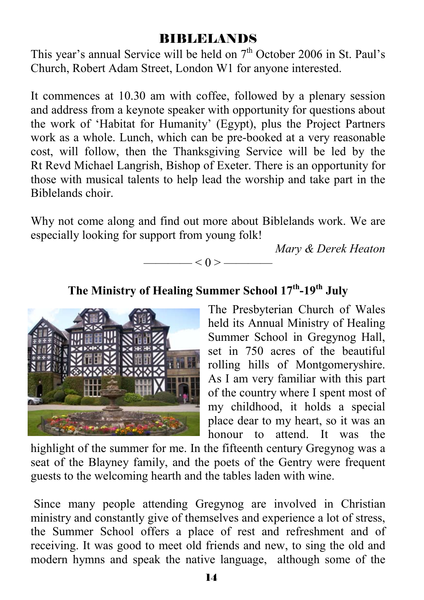## BIBLELANDS

This year's annual Service will be held on  $7<sup>th</sup>$  October 2006 in St. Paul's Church, Robert Adam Street, London W1 for anyone interested.

It commences at 10.30 am with coffee, followed by a plenary session and address from a keynote speaker with opportunity for questions about the work of 'Habitat for Humanity' (Egypt), plus the Project Partners work as a whole. Lunch, which can be pre-booked at a very reasonable cost, will follow, then the Thanksgiving Service will be led by the Rt Revd Michael Langrish, Bishop of Exeter. There is an opportunity for those with musical talents to help lead the worship and take part in the Biblelands choir.

Why not come along and find out more about Biblelands work. We are especially looking for support from young folk!

*Mary & Derek Heaton* 



**The Ministry of Healing Summer School 17th-19th July**



The Presbyterian Church of Wales held its Annual Ministry of Healing Summer School in Gregynog Hall, set in 750 acres of the beautiful rolling hills of Montgomeryshire. As I am very familiar with this part of the country where I spent most of my childhood, it holds a special place dear to my heart, so it was an honour to attend. It was the

highlight of the summer for me. In the fifteenth century Gregynog was a seat of the Blayney family, and the poets of the Gentry were frequent guests to the welcoming hearth and the tables laden with wine.

 Since many people attending Gregynog are involved in Christian ministry and constantly give of themselves and experience a lot of stress, the Summer School offers a place of rest and refreshment and of receiving. It was good to meet old friends and new, to sing the old and modern hymns and speak the native language, although some of the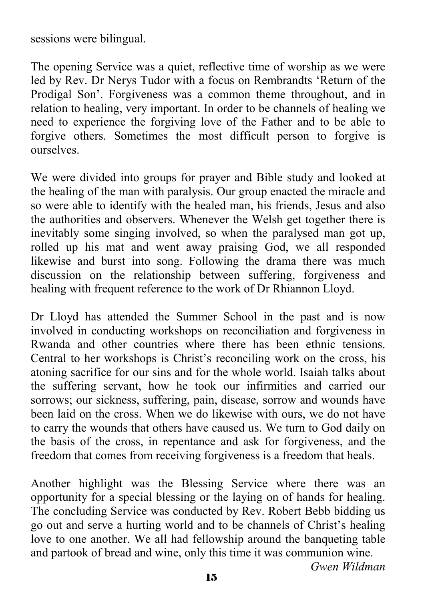sessions were bilingual.

The opening Service was a quiet, reflective time of worship as we were led by Rev. Dr Nerys Tudor with a focus on Rembrandts 'Return of the Prodigal Son'. Forgiveness was a common theme throughout, and in relation to healing, very important. In order to be channels of healing we need to experience the forgiving love of the Father and to be able to forgive others. Sometimes the most difficult person to forgive is ourselves.

We were divided into groups for prayer and Bible study and looked at the healing of the man with paralysis. Our group enacted the miracle and so were able to identify with the healed man, his friends, Jesus and also the authorities and observers. Whenever the Welsh get together there is inevitably some singing involved, so when the paralysed man got up, rolled up his mat and went away praising God, we all responded likewise and burst into song. Following the drama there was much discussion on the relationship between suffering, forgiveness and healing with frequent reference to the work of Dr Rhiannon Lloyd.

Dr Lloyd has attended the Summer School in the past and is now involved in conducting workshops on reconciliation and forgiveness in Rwanda and other countries where there has been ethnic tensions. Central to her workshops is Christ's reconciling work on the cross, his atoning sacrifice for our sins and for the whole world. Isaiah talks about the suffering servant, how he took our infirmities and carried our sorrows; our sickness, suffering, pain, disease, sorrow and wounds have been laid on the cross. When we do likewise with ours, we do not have to carry the wounds that others have caused us. We turn to God daily on the basis of the cross, in repentance and ask for forgiveness, and the freedom that comes from receiving forgiveness is a freedom that heals.

Another highlight was the Blessing Service where there was an opportunity for a special blessing or the laying on of hands for healing. The concluding Service was conducted by Rev. Robert Bebb bidding us go out and serve a hurting world and to be channels of Christ's healing love to one another. We all had fellowship around the banqueting table and partook of bread and wine, only this time it was communion wine.

*Gwen Wildman*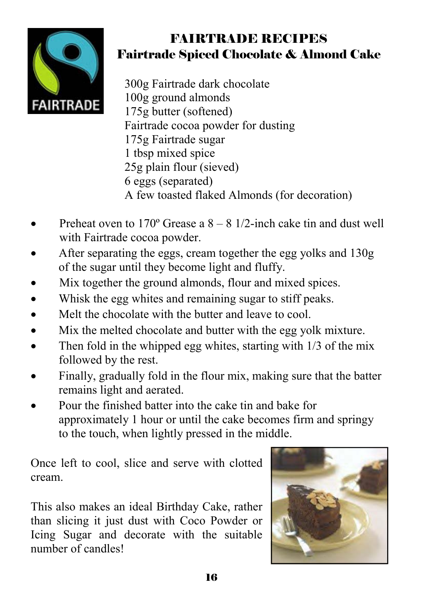

# FAIRTRADE RECIPES Fairtrade Spiced Chocolate & Almond Cake

 300g Fairtrade dark chocolate 100g ground almonds 175g butter (softened) Fairtrade cocoa powder for dusting 175g Fairtrade sugar 1 tbsp mixed spice 25g plain flour (sieved) 6 eggs (separated) A few toasted flaked Almonds (for decoration)

- Preheat oven to  $170^{\circ}$  Grease a  $8 8$  1/2-inch cake tin and dust well with Fairtrade cocoa powder.
- After separating the eggs, cream together the egg yolks and 130g of the sugar until they become light and fluffy.
- Mix together the ground almonds, flour and mixed spices.
- Whisk the egg whites and remaining sugar to stiff peaks.
- Melt the chocolate with the butter and leave to cool.
- Mix the melted chocolate and butter with the egg yolk mixture.
- Then fold in the whipped egg whites, starting with  $1/3$  of the mix followed by the rest.
- Finally, gradually fold in the flour mix, making sure that the batter remains light and aerated.
- Pour the finished batter into the cake tin and bake for approximately 1 hour or until the cake becomes firm and springy to the touch, when lightly pressed in the middle.

Once left to cool, slice and serve with clotted cream.

This also makes an ideal Birthday Cake, rather than slicing it just dust with Coco Powder or Icing Sugar and decorate with the suitable number of candles!

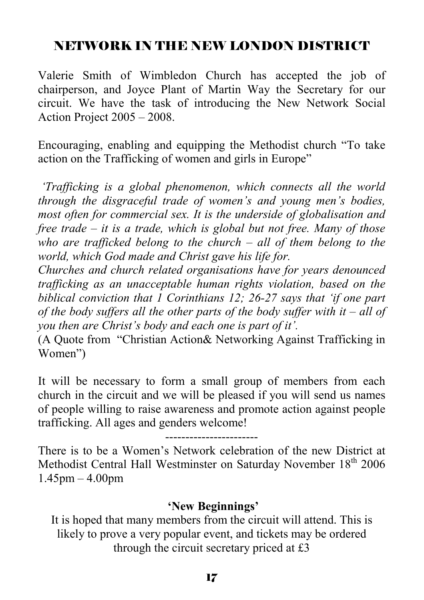# NETWORK IN THE NEW LONDON DISTRICT

Valerie Smith of Wimbledon Church has accepted the job of chairperson, and Joyce Plant of Martin Way the Secretary for our circuit. We have the task of introducing the New Network Social Action Project 2005 – 2008.

Encouraging, enabling and equipping the Methodist church "To take action on the Trafficking of women and girls in Europe"

 *'Trafficking is a global phenomenon, which connects all the world through the disgraceful trade of women's and young men's bodies, most often for commercial sex. It is the underside of globalisation and free trade – it is a trade, which is global but not free. Many of those who are trafficked belong to the church – all of them belong to the world, which God made and Christ gave his life for.* 

*Churches and church related organisations have for years denounced trafficking as an unacceptable human rights violation, based on the biblical conviction that 1 Corinthians 12; 26-27 says that 'if one part of the body suffers all the other parts of the body suffer with it – all of you then are Christ's body and each one is part of it'.* 

(A Quote from "Christian Action& Networking Against Trafficking in Women")

It will be necessary to form a small group of members from each church in the circuit and we will be pleased if you will send us names of people willing to raise awareness and promote action against people trafficking. All ages and genders welcome!

-----------------------

There is to be a Women's Network celebration of the new District at Methodist Central Hall Westminster on Saturday November 18<sup>th</sup> 2006 1.45pm – 4.00pm

## **'New Beginnings'**

It is hoped that many members from the circuit will attend. This is likely to prove a very popular event, and tickets may be ordered through the circuit secretary priced at £3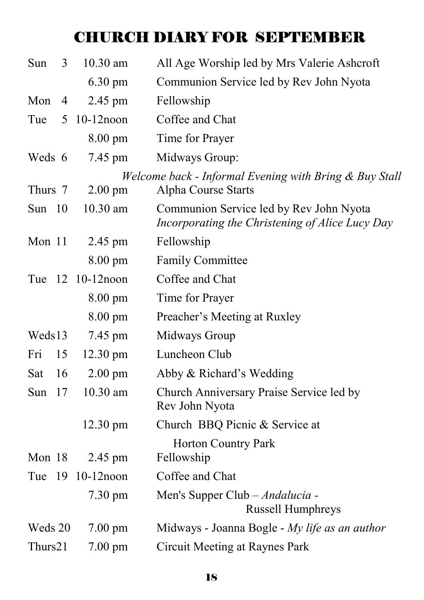# CHURCH DIARY FOR SEPTEMBER

| Sun     | 3              | 10.30 am           | All Age Worship led by Mrs Valerie Ashcroft                                                |
|---------|----------------|--------------------|--------------------------------------------------------------------------------------------|
|         |                | $6.30 \text{ pm}$  | Communion Service led by Rev John Nyota                                                    |
| Mon     | $\overline{4}$ | 2.45 pm            | Fellowship                                                                                 |
| Tue     | 5              | $10-12$ noon       | Coffee and Chat                                                                            |
|         |                | $8.00 \text{ pm}$  | Time for Prayer                                                                            |
| Weds 6  |                | 7.45 pm            | Midways Group:                                                                             |
| Thurs 7 |                | $2.00 \text{ pm}$  | Welcome back - Informal Evening with Bring & Buy Stall<br>Alpha Course Starts              |
|         |                |                    |                                                                                            |
| Sun 10  |                | 10.30 am           | Communion Service led by Rev John Nyota<br>Incorporating the Christening of Alice Lucy Day |
| Mon 11  |                | 2.45 pm            | Fellowship                                                                                 |
|         |                | 8.00 pm            | <b>Family Committee</b>                                                                    |
|         |                | Tue 12 10-12 noon  | Coffee and Chat                                                                            |
|         |                | $8.00 \text{ pm}$  | Time for Prayer                                                                            |
|         |                | $8.00 \text{ pm}$  | Preacher's Meeting at Ruxley                                                               |
| Weds13  |                | 7.45 pm            | Midways Group                                                                              |
| Fri     | 15             | $12.30 \text{ pm}$ | Luncheon Club                                                                              |
| Sat     | 16             | $2.00 \text{ pm}$  | Abby & Richard's Wedding                                                                   |
| Sun     | 17             | 10.30 am           | Church Anniversary Praise Service led by<br>Rev John Nyota                                 |
|         |                | $12.30 \text{ pm}$ | Church BBQ Picnic & Service at                                                             |
|         |                |                    | <b>Horton Country Park</b>                                                                 |
| Mon 18  |                | 2.45 pm            | Fellowship                                                                                 |
| Tue     | -19            | $10-12$ noon       | Coffee and Chat                                                                            |
|         |                | 7.30 pm            | Men's Supper Club - Andalucia -<br><b>Russell Humphreys</b>                                |
| Weds 20 |                | $7.00 \text{ pm}$  | Midways - Joanna Bogle - My life as an author                                              |
| Thurs21 |                | $7.00 \text{ pm}$  | <b>Circuit Meeting at Raynes Park</b>                                                      |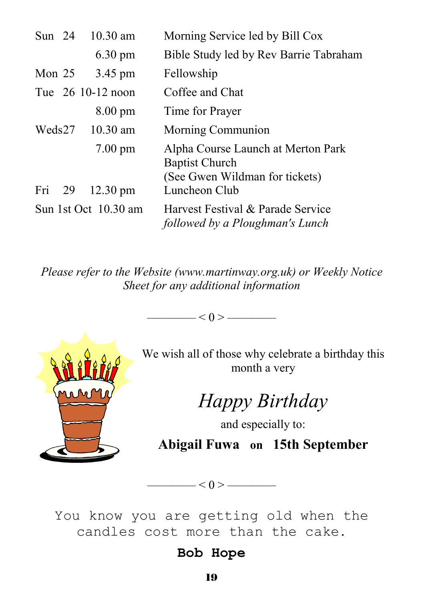| Sun $24$ | $10.30$ am           | Morning Service led by Bill Cox                                                               |
|----------|----------------------|-----------------------------------------------------------------------------------------------|
|          | $6.30 \text{ pm}$    | Bible Study led by Rev Barrie Tabraham                                                        |
| Mon $25$ | 3.45 pm              | Fellowship                                                                                    |
|          | Tue 26 10-12 noon    | Coffee and Chat                                                                               |
|          | $8.00 \text{ pm}$    | Time for Prayer                                                                               |
| Weds27   | $10.30$ am           | Morning Communion                                                                             |
|          | $7.00 \text{ pm}$    | Alpha Course Launch at Merton Park<br><b>Baptist Church</b><br>(See Gwen Wildman for tickets) |
| Fri 29   | $12.30 \text{ pm}$   | Luncheon Club                                                                                 |
|          | Sun 1st Oct 10.30 am | Harvest Festival & Parade Service<br>followed by a Ploughman's Lunch                          |

*Please refer to the Website (www.martinway.org.uk) or Weekly Notice Sheet for any additional information* 



We wish all of those why celebrate a birthday this month a very

*Happy Birthday* 

and especially to: **Abigail Fuwa on 15th September** 

You know you are getting old when the candles cost more than the cake.

 $\longrightarrow$   $<$  0 >  $\longrightarrow$ 

## **Bob Hope**